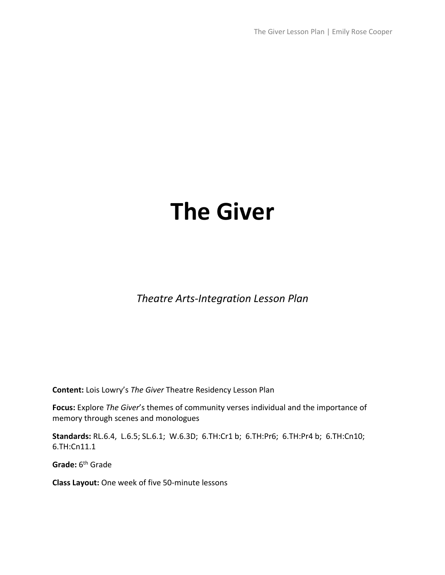The Giver Lesson Plan | Emily Rose Cooper

# **The Giver**

*Theatre Arts-Integration Lesson Plan*

**Content:** Lois Lowry's *The Giver* Theatre Residency Lesson Plan

**Focus:** Explore *The Giver*'s themes of community verses individual and the importance of memory through scenes and monologues

**Standards:** RL.6.4, L.6.5; SL.6.1; W.6.3D; 6.TH:Cr1 b; 6.TH:Pr6; 6.TH:Pr4 b; 6.TH:Cn10; 6.TH:Cn11.1

**Grade:** 6th Grade

**Class Layout:** One week of five 50-minute lessons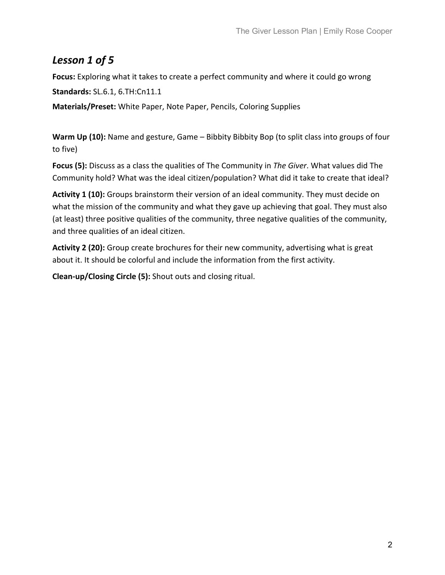## *Lesson 1 of 5*

**Focus:** Exploring what it takes to create a perfect community and where it could go wrong **Standards:** SL.6.1, 6.TH:Cn11.1 **Materials/Preset:** White Paper, Note Paper, Pencils, Coloring Supplies

Warm Up (10): Name and gesture, Game – Bibbity Bibbity Bop (to split class into groups of four to five)

**Focus (5):** Discuss as a class the qualities of The Community in *The Giver*. What values did The Community hold? What was the ideal citizen/population? What did it take to create that ideal?

**Activity 1 (10):** Groups brainstorm their version of an ideal community. They must decide on what the mission of the community and what they gave up achieving that goal. They must also (at least) three positive qualities of the community, three negative qualities of the community, and three qualities of an ideal citizen.

**Activity 2 (20):** Group create brochures for their new community, advertising what is great about it. It should be colorful and include the information from the first activity.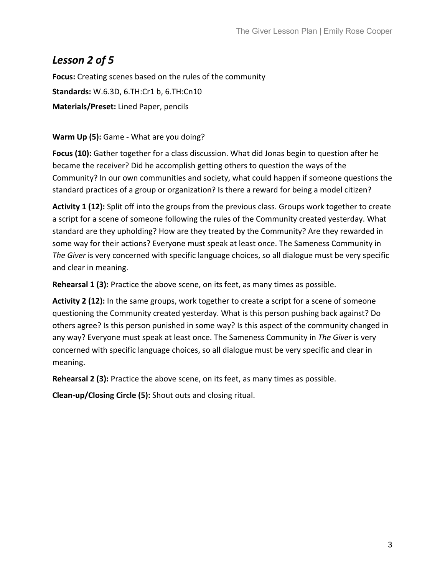#### *Lesson 2 of 5*

**Focus:** Creating scenes based on the rules of the community **Standards:** W.6.3D, 6.TH:Cr1 b, 6.TH:Cn10 **Materials/Preset:** Lined Paper, pencils

#### **Warm Up (5):** Game - What are you doing?

**Focus (10):** Gather together for a class discussion. What did Jonas begin to question after he became the receiver? Did he accomplish getting others to question the ways of the Community? In our own communities and society, what could happen if someone questions the standard practices of a group or organization? Is there a reward for being a model citizen?

Activity 1 (12): Split off into the groups from the previous class. Groups work together to create a script for a scene of someone following the rules of the Community created yesterday. What standard are they upholding? How are they treated by the Community? Are they rewarded in some way for their actions? Everyone must speak at least once. The Sameness Community in *The Giver* is very concerned with specific language choices, so all dialogue must be very specific and clear in meaning.

**Rehearsal 1 (3):** Practice the above scene, on its feet, as many times as possible.

**Activity 2 (12):** In the same groups, work together to create a script for a scene of someone questioning the Community created yesterday. What is this person pushing back against? Do others agree? Is this person punished in some way? Is this aspect of the community changed in any way? Everyone must speak at least once. The Sameness Community in *The Giver* is very concerned with specific language choices, so all dialogue must be very specific and clear in meaning.

**Rehearsal 2 (3):** Practice the above scene, on its feet, as many times as possible.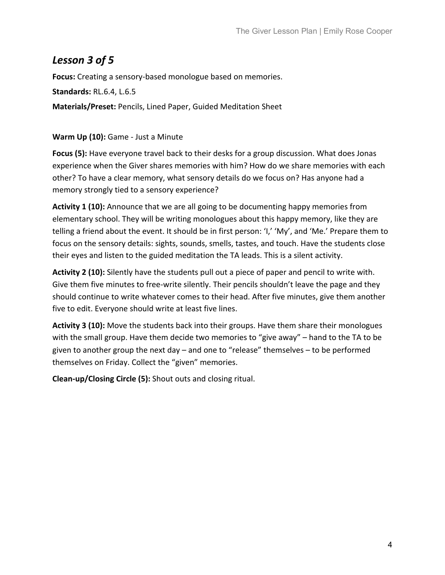#### *Lesson 3 of 5*

**Focus:** Creating a sensory-based monologue based on memories.

**Standards:** RL.6.4, L.6.5

**Materials/Preset:** Pencils, Lined Paper, Guided Meditation Sheet

#### **Warm Up (10):** Game - Just a Minute

**Focus (5):** Have everyone travel back to their desks for a group discussion. What does Jonas experience when the Giver shares memories with him? How do we share memories with each other? To have a clear memory, what sensory details do we focus on? Has anyone had a memory strongly tied to a sensory experience?

**Activity 1 (10):** Announce that we are all going to be documenting happy memories from elementary school. They will be writing monologues about this happy memory, like they are telling a friend about the event. It should be in first person: 'I,' 'My', and 'Me.' Prepare them to focus on the sensory details: sights, sounds, smells, tastes, and touch. Have the students close their eyes and listen to the guided meditation the TA leads. This is a silent activity.

**Activity 2 (10):** Silently have the students pull out a piece of paper and pencil to write with. Give them five minutes to free-write silently. Their pencils shouldn't leave the page and they should continue to write whatever comes to their head. After five minutes, give them another five to edit. Everyone should write at least five lines.

**Activity 3 (10):** Move the students back into their groups. Have them share their monologues with the small group. Have them decide two memories to "give away" – hand to the TA to be given to another group the next day – and one to "release" themselves – to be performed themselves on Friday. Collect the "given" memories.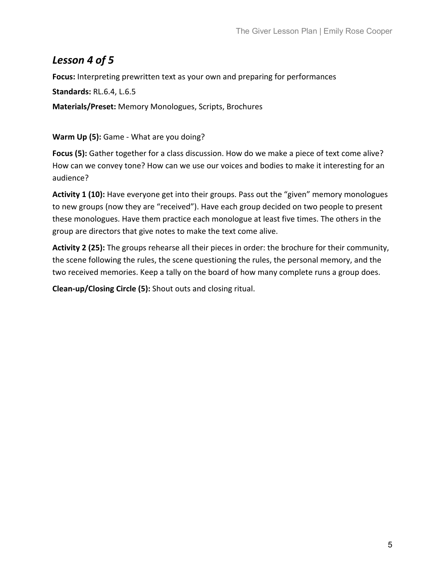## *Lesson 4 of 5*

**Focus:** Interpreting prewritten text as your own and preparing for performances

**Standards:** RL.6.4, L.6.5

**Materials/Preset:** Memory Monologues, Scripts, Brochures

**Warm Up (5):** Game - What are you doing?

**Focus (5):** Gather together for a class discussion. How do we make a piece of text come alive? How can we convey tone? How can we use our voices and bodies to make it interesting for an audience?

**Activity 1 (10):** Have everyone get into their groups. Pass out the "given" memory monologues to new groups (now they are "received"). Have each group decided on two people to present these monologues. Have them practice each monologue at least five times. The others in the group are directors that give notes to make the text come alive.

**Activity 2 (25):** The groups rehearse all their pieces in order: the brochure for their community, the scene following the rules, the scene questioning the rules, the personal memory, and the two received memories. Keep a tally on the board of how many complete runs a group does.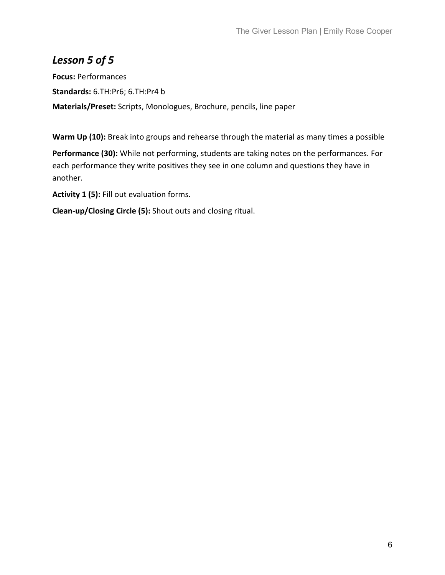## *Lesson 5 of 5*

**Focus:** Performances **Standards:** 6.TH:Pr6; 6.TH:Pr4 b **Materials/Preset:** Scripts, Monologues, Brochure, pencils, line paper

**Warm Up (10):** Break into groups and rehearse through the material as many times a possible

**Performance (30):** While not performing, students are taking notes on the performances. For each performance they write positives they see in one column and questions they have in another.

**Activity 1 (5):** Fill out evaluation forms.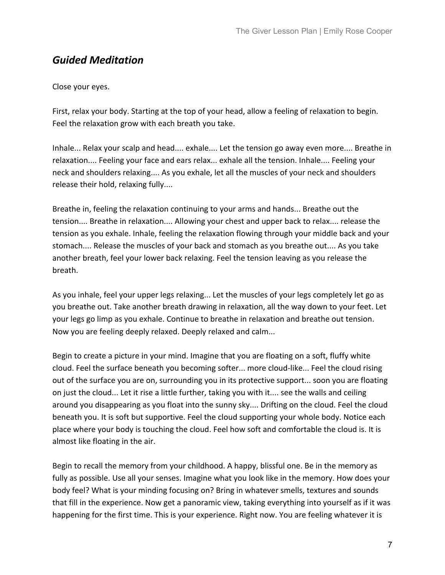#### *Guided Meditation*

Close your eyes.

First, relax your body. Starting at the top of your head, allow a feeling of relaxation to begin. Feel the relaxation grow with each breath you take.

Inhale... Relax your scalp and head.... exhale.... Let the tension go away even more.... Breathe in relaxation.... Feeling your face and ears relax... exhale all the tension. Inhale.... Feeling your neck and shoulders relaxing.... As you exhale, let all the muscles of your neck and shoulders release their hold, relaxing fully....

Breathe in, feeling the relaxation continuing to your arms and hands... Breathe out the tension.... Breathe in relaxation.... Allowing your chest and upper back to relax.... release the tension as you exhale. Inhale, feeling the relaxation flowing through your middle back and your stomach.... Release the muscles of your back and stomach as you breathe out.... As you take another breath, feel your lower back relaxing. Feel the tension leaving as you release the breath.

As you inhale, feel your upper legs relaxing... Let the muscles of your legs completely let go as you breathe out. Take another breath drawing in relaxation, all the way down to your feet. Let your legs go limp as you exhale. Continue to breathe in relaxation and breathe out tension. Now you are feeling deeply relaxed. Deeply relaxed and calm...

Begin to create a picture in your mind. Imagine that you are floating on a soft, fluffy white cloud. Feel the surface beneath you becoming softer... more cloud-like... Feel the cloud rising out of the surface you are on, surrounding you in its protective support... soon you are floating on just the cloud... Let it rise a little further, taking you with it.... see the walls and ceiling around you disappearing as you float into the sunny sky.... Drifting on the cloud. Feel the cloud beneath you. It is soft but supportive. Feel the cloud supporting your whole body. Notice each place where your body is touching the cloud. Feel how soft and comfortable the cloud is. It is almost like floating in the air.

Begin to recall the memory from your childhood. A happy, blissful one. Be in the memory as fully as possible. Use all your senses. Imagine what you look like in the memory. How does your body feel? What is your minding focusing on? Bring in whatever smells, textures and sounds that fill in the experience. Now get a panoramic view, taking everything into yourself as if it was happening for the first time. This is your experience. Right now. You are feeling whatever it is